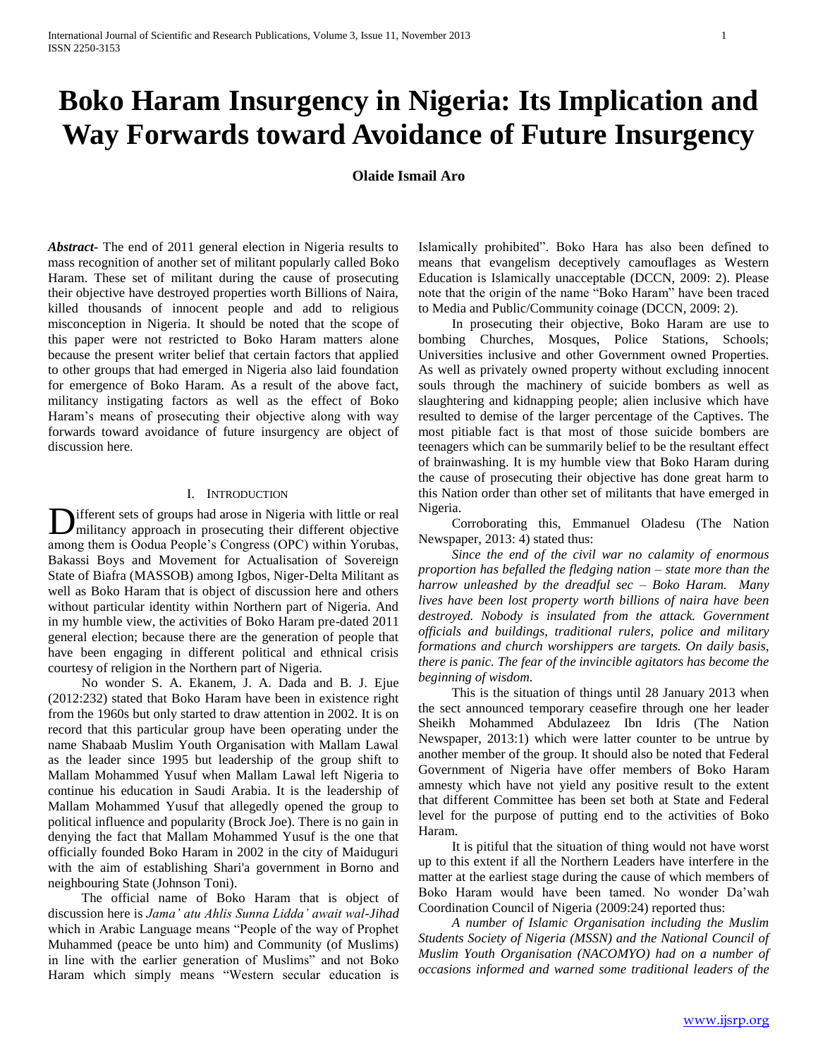# **Boko Haram Insurgency in Nigeria: Its Implication and Way Forwards toward Avoidance of Future Insurgency**

# **Olaide Ismail Aro**

*Abstract***-** The end of 2011 general election in Nigeria results to mass recognition of another set of militant popularly called Boko Haram. These set of militant during the cause of prosecuting their objective have destroyed properties worth Billions of Naira, killed thousands of innocent people and add to religious misconception in Nigeria. It should be noted that the scope of this paper were not restricted to Boko Haram matters alone because the present writer belief that certain factors that applied to other groups that had emerged in Nigeria also laid foundation for emergence of Boko Haram. As a result of the above fact, militancy instigating factors as well as the effect of Boko Haram's means of prosecuting their objective along with way forwards toward avoidance of future insurgency are object of discussion here.

#### I. INTRODUCTION

ifferent sets of groups had arose in Nigeria with little or real militancy approach in prosecuting their different objective **D**ifferent sets of groups had arose in Nigeria with little or real militancy approach in prosecuting their different objective among them is Oodua People's Congress (OPC) within Yorubas, Bakassi Boys and Movement for Actualisation of Sovereign State of Biafra (MASSOB) among Igbos, Niger-Delta Militant as well as Boko Haram that is object of discussion here and others without particular identity within Northern part of Nigeria. And in my humble view, the activities of Boko Haram pre-dated 2011 general election; because there are the generation of people that have been engaging in different political and ethnical crisis courtesy of religion in the Northern part of Nigeria.

 No wonder S. A. Ekanem, J. A. Dada and B. J. Ejue (2012:232) stated that Boko Haram have been in existence right from the 1960s but only started to draw attention in 2002. It is on record that this particular group have been operating under the name Shabaab Muslim Youth Organisation with Mallam Lawal as the leader since 1995 but leadership of the group shift to Mallam Mohammed Yusuf when Mallam Lawal left Nigeria to continue his education in Saudi Arabia. It is the leadership of Mallam Mohammed Yusuf that allegedly opened the group to political influence and popularity (Brock Joe). There is no gain in denying the fact that Mallam Mohammed Yusuf is the one that officially founded Boko Haram in 2002 in the city of Maiduguri with the aim of establishing Shari'a government in Borno and neighbouring State (Johnson Toni).

 The official name of Boko Haram that is object of discussion here is *Jama' atu Ahlis Sunna Lidda' await wal-Jihad* which in Arabic Language means "People of the way of Prophet Muhammed (peace be unto him) and Community (of Muslims) in line with the earlier generation of Muslims" and not Boko Haram which simply means "Western secular education is

Islamically prohibited". Boko Hara has also been defined to means that evangelism deceptively camouflages as Western Education is Islamically unacceptable (DCCN, 2009: 2). Please note that the origin of the name "Boko Haram" have been traced to Media and Public/Community coinage (DCCN, 2009: 2).

 In prosecuting their objective, Boko Haram are use to bombing Churches, Mosques, Police Stations, Schools; Universities inclusive and other Government owned Properties. As well as privately owned property without excluding innocent souls through the machinery of suicide bombers as well as slaughtering and kidnapping people; alien inclusive which have resulted to demise of the larger percentage of the Captives. The most pitiable fact is that most of those suicide bombers are teenagers which can be summarily belief to be the resultant effect of brainwashing. It is my humble view that Boko Haram during the cause of prosecuting their objective has done great harm to this Nation order than other set of militants that have emerged in Nigeria.

 Corroborating this, Emmanuel Oladesu (The Nation Newspaper, 2013: 4) stated thus:

 *Since the end of the civil war no calamity of enormous proportion has befalled the fledging nation – state more than the harrow unleashed by the dreadful sec – Boko Haram. Many lives have been lost property worth billions of naira have been destroyed. Nobody is insulated from the attack. Government officials and buildings, traditional rulers, police and military formations and church worshippers are targets. On daily basis, there is panic. The fear of the invincible agitators has become the beginning of wisdom.*

 This is the situation of things until 28 January 2013 when the sect announced temporary ceasefire through one her leader Sheikh Mohammed Abdulazeez Ibn Idris (The Nation Newspaper, 2013:1) which were latter counter to be untrue by another member of the group. It should also be noted that Federal Government of Nigeria have offer members of Boko Haram amnesty which have not yield any positive result to the extent that different Committee has been set both at State and Federal level for the purpose of putting end to the activities of Boko Haram.

 It is pitiful that the situation of thing would not have worst up to this extent if all the Northern Leaders have interfere in the matter at the earliest stage during the cause of which members of Boko Haram would have been tamed. No wonder Da'wah Coordination Council of Nigeria (2009:24) reported thus:

 *A number of Islamic Organisation including the Muslim Students Society of Nigeria (MSSN) and the National Council of Muslim Youth Organisation (NACOMYO) had on a number of occasions informed and warned some traditional leaders of the*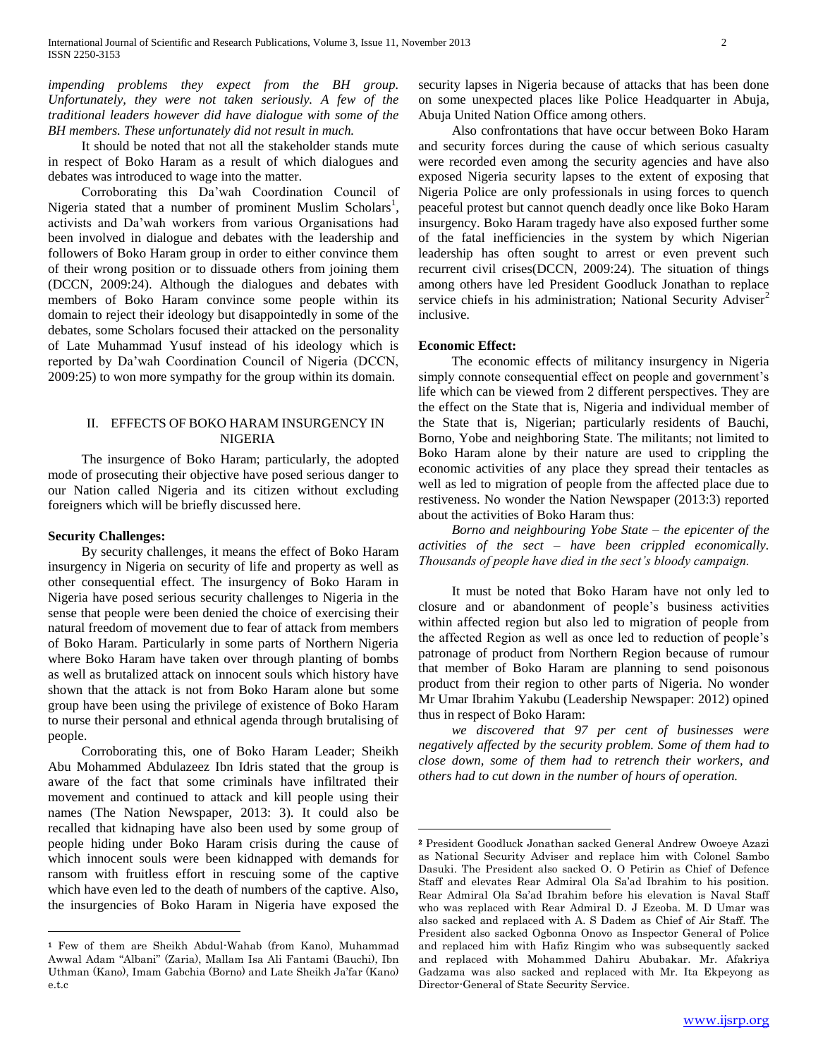*impending problems they expect from the BH group. Unfortunately, they were not taken seriously. A few of the traditional leaders however did have dialogue with some of the BH members. These unfortunately did not result in much.* 

 It should be noted that not all the stakeholder stands mute in respect of Boko Haram as a result of which dialogues and debates was introduced to wage into the matter.

 Corroborating this Da'wah Coordination Council of Nigeria stated that a number of prominent Muslim Scholars<sup>1</sup>, activists and Da'wah workers from various Organisations had been involved in dialogue and debates with the leadership and followers of Boko Haram group in order to either convince them of their wrong position or to dissuade others from joining them (DCCN, 2009:24). Although the dialogues and debates with members of Boko Haram convince some people within its domain to reject their ideology but disappointedly in some of the debates, some Scholars focused their attacked on the personality of Late Muhammad Yusuf instead of his ideology which is reported by Da'wah Coordination Council of Nigeria (DCCN, 2009:25) to won more sympathy for the group within its domain.

### II. EFFECTS OF BOKO HARAM INSURGENCY IN NIGERIA

 The insurgence of Boko Haram; particularly, the adopted mode of prosecuting their objective have posed serious danger to our Nation called Nigeria and its citizen without excluding foreigners which will be briefly discussed here.

#### **Security Challenges:**

 $\overline{a}$ 

 By security challenges, it means the effect of Boko Haram insurgency in Nigeria on security of life and property as well as other consequential effect. The insurgency of Boko Haram in Nigeria have posed serious security challenges to Nigeria in the sense that people were been denied the choice of exercising their natural freedom of movement due to fear of attack from members of Boko Haram. Particularly in some parts of Northern Nigeria where Boko Haram have taken over through planting of bombs as well as brutalized attack on innocent souls which history have shown that the attack is not from Boko Haram alone but some group have been using the privilege of existence of Boko Haram to nurse their personal and ethnical agenda through brutalising of people.

 Corroborating this, one of Boko Haram Leader; Sheikh Abu Mohammed Abdulazeez Ibn Idris stated that the group is aware of the fact that some criminals have infiltrated their movement and continued to attack and kill people using their names (The Nation Newspaper, 2013: 3). It could also be recalled that kidnaping have also been used by some group of people hiding under Boko Haram crisis during the cause of which innocent souls were been kidnapped with demands for ransom with fruitless effort in rescuing some of the captive which have even led to the death of numbers of the captive. Also, the insurgencies of Boko Haram in Nigeria have exposed the security lapses in Nigeria because of attacks that has been done on some unexpected places like Police Headquarter in Abuja, Abuja United Nation Office among others.

 Also confrontations that have occur between Boko Haram and security forces during the cause of which serious casualty were recorded even among the security agencies and have also exposed Nigeria security lapses to the extent of exposing that Nigeria Police are only professionals in using forces to quench peaceful protest but cannot quench deadly once like Boko Haram insurgency. Boko Haram tragedy have also exposed further some of the fatal inefficiencies in the system by which Nigerian leadership has often sought to arrest or even prevent such recurrent civil crises(DCCN, 2009:24). The situation of things among others have led President Goodluck Jonathan to replace service chiefs in his administration; National Security Adviser<sup>2</sup> inclusive.

### **Economic Effect:**

 $\overline{a}$ 

 The economic effects of militancy insurgency in Nigeria simply connote consequential effect on people and government's life which can be viewed from 2 different perspectives. They are the effect on the State that is, Nigeria and individual member of the State that is, Nigerian; particularly residents of Bauchi, Borno, Yobe and neighboring State. The militants; not limited to Boko Haram alone by their nature are used to crippling the economic activities of any place they spread their tentacles as well as led to migration of people from the affected place due to restiveness. No wonder the Nation Newspaper (2013:3) reported about the activities of Boko Haram thus:

 *Borno and neighbouring Yobe State – the epicenter of the activities of the sect – have been crippled economically. Thousands of people have died in the sect's bloody campaign.*

 It must be noted that Boko Haram have not only led to closure and or abandonment of people's business activities within affected region but also led to migration of people from the affected Region as well as once led to reduction of people's patronage of product from Northern Region because of rumour that member of Boko Haram are planning to send poisonous product from their region to other parts of Nigeria. No wonder Mr Umar Ibrahim Yakubu (Leadership Newspaper: 2012) opined thus in respect of Boko Haram:

 *we discovered that 97 per cent of businesses were negatively affected by the security problem. Some of them had to close down, some of them had to retrench their workers, and others had to cut down in the number of hours of operation.* 

<sup>1</sup> Few of them are Sheikh Abdul-Wahab (from Kano), Muhammad Awwal Adam "Albani" (Zaria), Mallam Isa Ali Fantami (Bauchi), Ibn Uthman (Kano), Imam Gabchia (Borno) and Late Sheikh Ja'far (Kano) e.t.c

<sup>2</sup> President Goodluck Jonathan sacked General Andrew Owoeye Azazi as National Security Adviser and replace him with Colonel Sambo Dasuki. The President also sacked O. O Petirin as Chief of Defence Staff and elevates Rear Admiral Ola Sa'ad Ibrahim to his position. Rear Admiral Ola Sa'ad Ibrahim before his elevation is Naval Staff who was replaced with Rear Admiral D. J Ezeoba. M. D Umar was also sacked and replaced with A. S Dadem as Chief of Air Staff. The President also sacked Ogbonna Onovo as Inspector General of Police and replaced him with Hafiz Ringim who was subsequently sacked and replaced with Mohammed Dahiru Abubakar. Mr. Afakriya Gadzama was also sacked and replaced with Mr. Ita Ekpeyong as Director-General of State Security Service.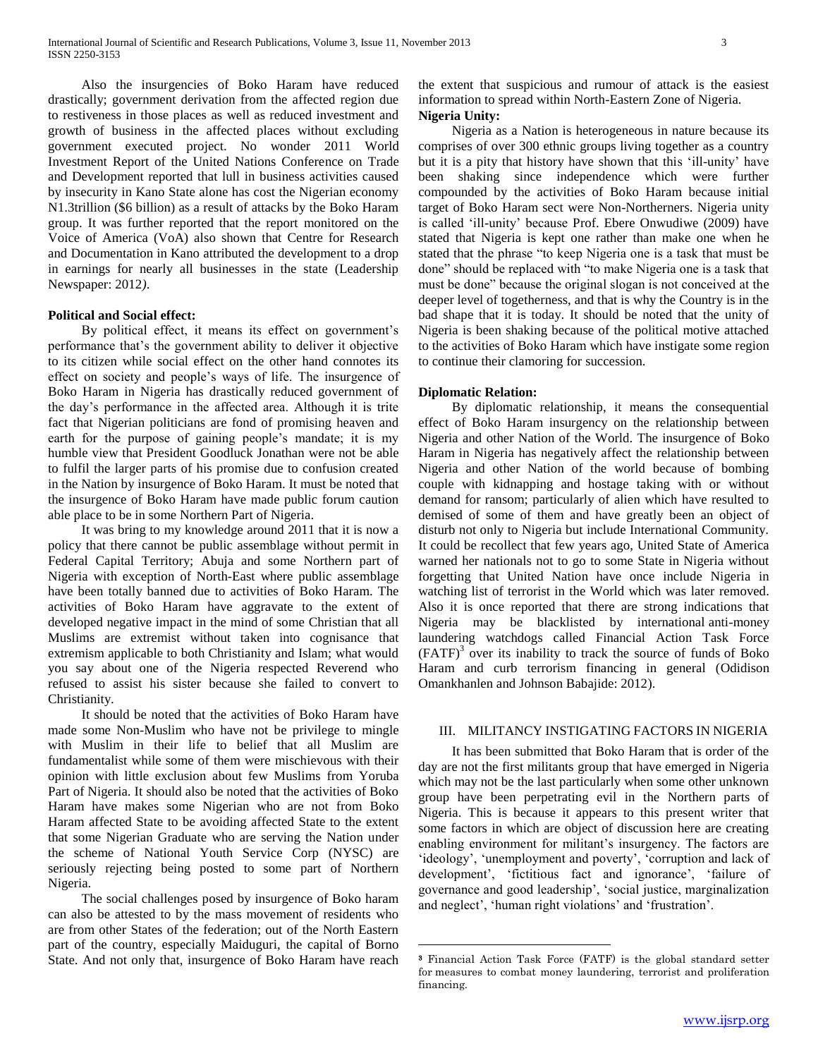Also the insurgencies of Boko Haram have reduced drastically; government derivation from the affected region due to restiveness in those places as well as reduced investment and growth of business in the affected places without excluding government executed project. No wonder 2011 World Investment Report of the United Nations Conference on Trade and Development reported that lull in business activities caused by insecurity in Kano State alone has cost the Nigerian economy N1.3trillion (\$6 billion) as a result of attacks by the Boko Haram group. It was further reported that the report monitored on the Voice of America (VoA) also shown that Centre for Research and Documentation in Kano attributed the development to a drop in earnings for nearly all businesses in the state (Leadership Newspaper: 2012*)*.

## **Political and Social effect:**

 By political effect, it means its effect on government's performance that's the government ability to deliver it objective to its citizen while social effect on the other hand connotes its effect on society and people's ways of life. The insurgence of Boko Haram in Nigeria has drastically reduced government of the day's performance in the affected area. Although it is trite fact that Nigerian politicians are fond of promising heaven and earth for the purpose of gaining people's mandate; it is my humble view that President Goodluck Jonathan were not be able to fulfil the larger parts of his promise due to confusion created in the Nation by insurgence of Boko Haram. It must be noted that the insurgence of Boko Haram have made public forum caution able place to be in some Northern Part of Nigeria.

 It was bring to my knowledge around 2011 that it is now a policy that there cannot be public assemblage without permit in Federal Capital Territory; Abuja and some Northern part of Nigeria with exception of North-East where public assemblage have been totally banned due to activities of Boko Haram. The activities of Boko Haram have aggravate to the extent of developed negative impact in the mind of some Christian that all Muslims are extremist without taken into cognisance that extremism applicable to both Christianity and Islam; what would you say about one of the Nigeria respected Reverend who refused to assist his sister because she failed to convert to Christianity.

 It should be noted that the activities of Boko Haram have made some Non-Muslim who have not be privilege to mingle with Muslim in their life to belief that all Muslim are fundamentalist while some of them were mischievous with their opinion with little exclusion about few Muslims from Yoruba Part of Nigeria. It should also be noted that the activities of Boko Haram have makes some Nigerian who are not from Boko Haram affected State to be avoiding affected State to the extent that some Nigerian Graduate who are serving the Nation under the scheme of National Youth Service Corp (NYSC) are seriously rejecting being posted to some part of Northern Nigeria.

 The social challenges posed by insurgence of Boko haram can also be attested to by the mass movement of residents who are from other States of the federation; out of the North Eastern part of the country, especially Maiduguri, the capital of Borno State. And not only that, insurgence of Boko Haram have reach

the extent that suspicious and rumour of attack is the easiest information to spread within North-Eastern Zone of Nigeria. **Nigeria Unity:**

 Nigeria as a Nation is heterogeneous in nature because its comprises of over 300 ethnic groups living together as a country but it is a pity that history have shown that this 'ill-unity' have been shaking since independence which were further compounded by the activities of Boko Haram because initial target of Boko Haram sect were Non-Northerners. Nigeria unity is called 'ill-unity' because Prof. Ebere Onwudiwe (2009) have stated that Nigeria is kept one rather than make one when he stated that the phrase "to keep Nigeria one is a task that must be done" should be replaced with "to make Nigeria one is a task that must be done" because the original slogan is not conceived at the deeper level of togetherness, and that is why the Country is in the bad shape that it is today. It should be noted that the unity of Nigeria is been shaking because of the political motive attached to the activities of Boko Haram which have instigate some region to continue their clamoring for succession.

#### **Diplomatic Relation:**

 $\overline{a}$ 

 By diplomatic relationship, it means the consequential effect of Boko Haram insurgency on the relationship between Nigeria and other Nation of the World. The insurgence of Boko Haram in Nigeria has negatively affect the relationship between Nigeria and other Nation of the world because of bombing couple with kidnapping and hostage taking with or without demand for ransom; particularly of alien which have resulted to demised of some of them and have greatly been an object of disturb not only to Nigeria but include International Community. It could be recollect that few years ago, United State of America warned her nationals not to go to some State in Nigeria without forgetting that United Nation have once include Nigeria in watching list of terrorist in the World which was later removed. Also it is once reported that there are strong indications that Nigeria may be blacklisted by international anti-money laundering watchdogs called Financial Action Task Force  $(FATF)^3$  over its inability to track the source of funds of Boko Haram and curb terrorism financing in general (Odidison Omankhanlen and Johnson Babajide: 2012).

#### III. MILITANCY INSTIGATING FACTORS IN NIGERIA

 It has been submitted that Boko Haram that is order of the day are not the first militants group that have emerged in Nigeria which may not be the last particularly when some other unknown group have been perpetrating evil in the Northern parts of Nigeria. This is because it appears to this present writer that some factors in which are object of discussion here are creating enabling environment for militant's insurgency. The factors are 'ideology', 'unemployment and poverty', 'corruption and lack of development', 'fictitious fact and ignorance', 'failure of governance and good leadership', 'social justice, marginalization and neglect', 'human right violations' and 'frustration'.

<sup>3</sup> Financial Action Task Force (FATF) is the global standard setter for measures to combat money laundering, terrorist and proliferation financing.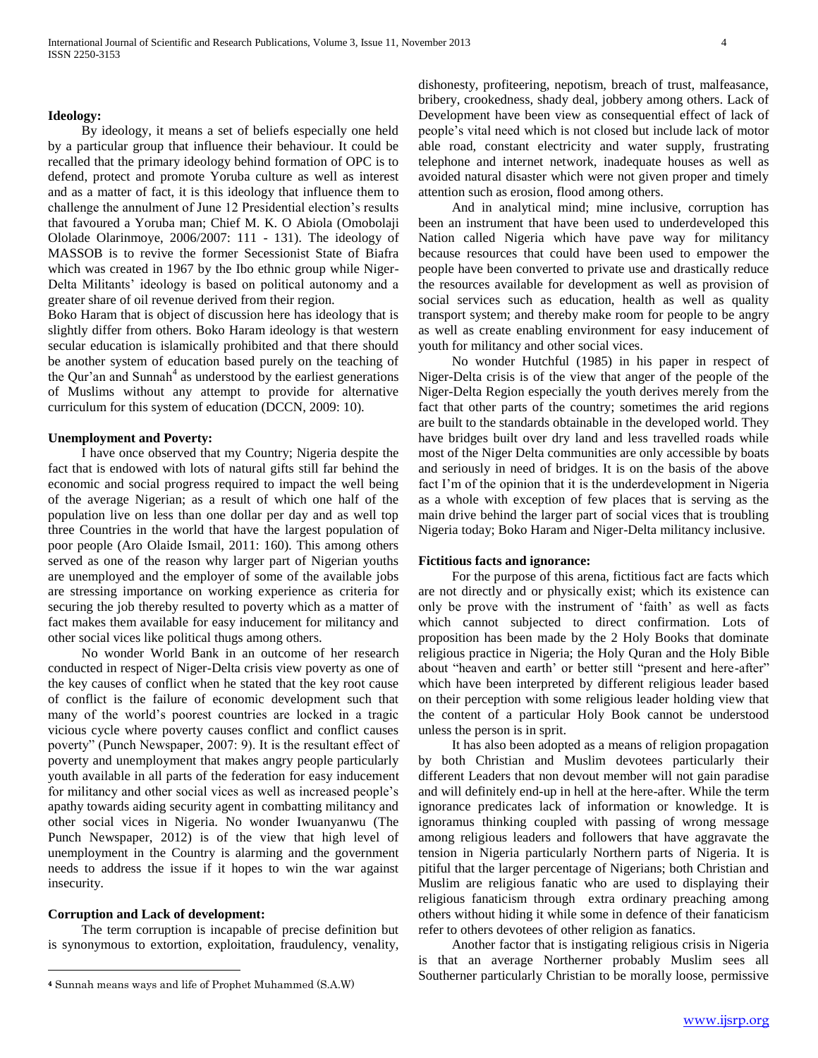#### **Ideology:**

 By ideology, it means a set of beliefs especially one held by a particular group that influence their behaviour. It could be recalled that the primary ideology behind formation of OPC is to defend, protect and promote Yoruba culture as well as interest and as a matter of fact, it is this ideology that influence them to challenge the annulment of June 12 Presidential election's results that favoured a Yoruba man; Chief M. K. O Abiola (Omobolaji Ololade Olarinmoye, 2006/2007: 111 - 131). The ideology of MASSOB is to revive the former Secessionist State of Biafra which was created in 1967 by the Ibo ethnic group while Niger-Delta Militants' ideology is based on political autonomy and a greater share of oil revenue derived from their region.

Boko Haram that is object of discussion here has ideology that is slightly differ from others. Boko Haram ideology is that western secular education is islamically prohibited and that there should be another system of education based purely on the teaching of the Qur'an and Sunnah<sup>4</sup> as understood by the earliest generations of Muslims without any attempt to provide for alternative curriculum for this system of education (DCCN, 2009: 10).

#### **Unemployment and Poverty:**

 I have once observed that my Country; Nigeria despite the fact that is endowed with lots of natural gifts still far behind the economic and social progress required to impact the well being of the average Nigerian; as a result of which one half of the population live on less than one dollar per day and as well top three Countries in the world that have the largest population of poor people (Aro Olaide Ismail, 2011: 160). This among others served as one of the reason why larger part of Nigerian youths are unemployed and the employer of some of the available jobs are stressing importance on working experience as criteria for securing the job thereby resulted to poverty which as a matter of fact makes them available for easy inducement for militancy and other social vices like political thugs among others.

 No wonder World Bank in an outcome of her research conducted in respect of Niger-Delta crisis view poverty as one of the key causes of conflict when he stated that the key root cause of conflict is the failure of economic development such that many of the world's poorest countries are locked in a tragic vicious cycle where poverty causes conflict and conflict causes poverty" (Punch Newspaper, 2007: 9). It is the resultant effect of poverty and unemployment that makes angry people particularly youth available in all parts of the federation for easy inducement for militancy and other social vices as well as increased people's apathy towards aiding security agent in combatting militancy and other social vices in Nigeria. No wonder Iwuanyanwu (The Punch Newspaper, 2012) is of the view that high level of unemployment in the Country is alarming and the government needs to address the issue if it hopes to win the war against insecurity.

#### **Corruption and Lack of development:**

 $\overline{a}$ 

 The term corruption is incapable of precise definition but is synonymous to extortion, exploitation, fraudulency, venality,

dishonesty, profiteering, nepotism, breach of trust, malfeasance, bribery, crookedness, shady deal, jobbery among others. Lack of Development have been view as consequential effect of lack of people's vital need which is not closed but include lack of motor able road, constant electricity and water supply, frustrating telephone and internet network, inadequate houses as well as avoided natural disaster which were not given proper and timely attention such as erosion, flood among others.

 And in analytical mind; mine inclusive, corruption has been an instrument that have been used to underdeveloped this Nation called Nigeria which have pave way for militancy because resources that could have been used to empower the people have been converted to private use and drastically reduce the resources available for development as well as provision of social services such as education, health as well as quality transport system; and thereby make room for people to be angry as well as create enabling environment for easy inducement of youth for militancy and other social vices.

 No wonder Hutchful (1985) in his paper in respect of Niger-Delta crisis is of the view that anger of the people of the Niger-Delta Region especially the youth derives merely from the fact that other parts of the country; sometimes the arid regions are built to the standards obtainable in the developed world. They have bridges built over dry land and less travelled roads while most of the Niger Delta communities are only accessible by boats and seriously in need of bridges. It is on the basis of the above fact I'm of the opinion that it is the underdevelopment in Nigeria as a whole with exception of few places that is serving as the main drive behind the larger part of social vices that is troubling Nigeria today; Boko Haram and Niger-Delta militancy inclusive.

#### **Fictitious facts and ignorance:**

 For the purpose of this arena, fictitious fact are facts which are not directly and or physically exist; which its existence can only be prove with the instrument of 'faith' as well as facts which cannot subjected to direct confirmation. Lots of proposition has been made by the 2 Holy Books that dominate religious practice in Nigeria; the Holy Quran and the Holy Bible about "heaven and earth' or better still "present and here-after" which have been interpreted by different religious leader based on their perception with some religious leader holding view that the content of a particular Holy Book cannot be understood unless the person is in sprit.

 It has also been adopted as a means of religion propagation by both Christian and Muslim devotees particularly their different Leaders that non devout member will not gain paradise and will definitely end-up in hell at the here-after. While the term ignorance predicates lack of information or knowledge. It is ignoramus thinking coupled with passing of wrong message among religious leaders and followers that have aggravate the tension in Nigeria particularly Northern parts of Nigeria. It is pitiful that the larger percentage of Nigerians; both Christian and Muslim are religious fanatic who are used to displaying their religious fanaticism through extra ordinary preaching among others without hiding it while some in defence of their fanaticism refer to others devotees of other religion as fanatics.

 Another factor that is instigating religious crisis in Nigeria is that an average Northerner probably Muslim sees all Southerner particularly Christian to be morally loose, permissive

<sup>4</sup> Sunnah means ways and life of Prophet Muhammed (S.A.W)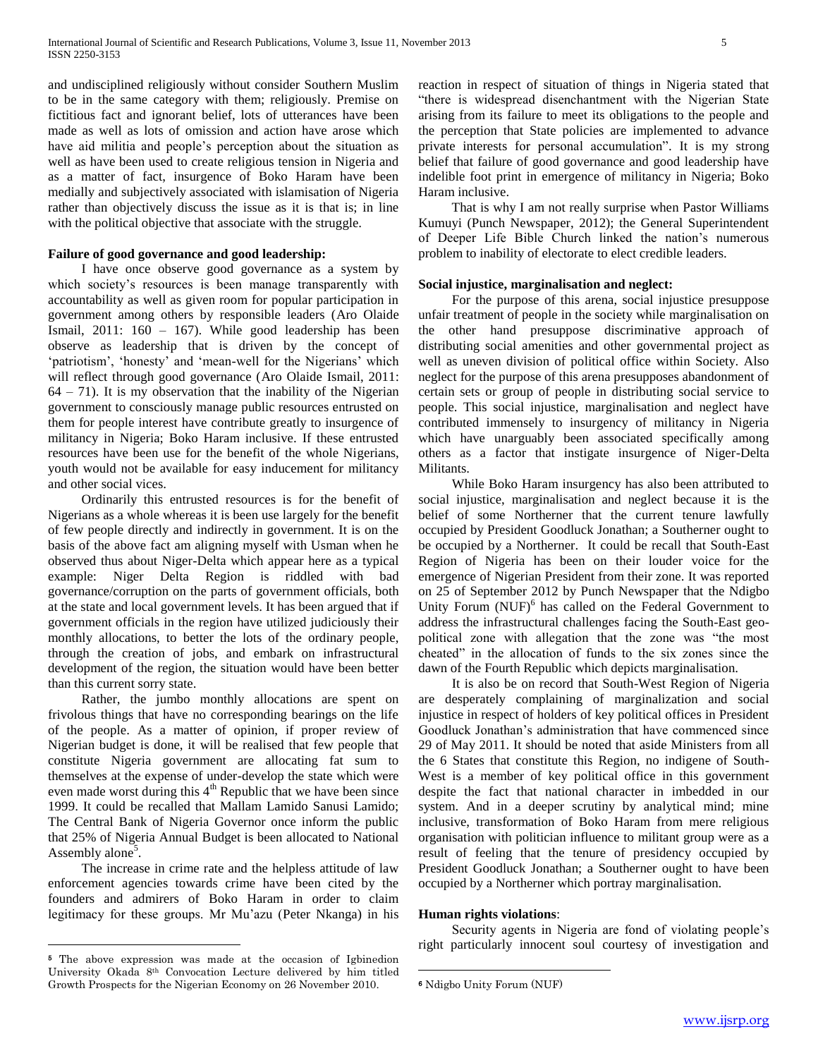and undisciplined religiously without consider Southern Muslim to be in the same category with them; religiously. Premise on fictitious fact and ignorant belief, lots of utterances have been made as well as lots of omission and action have arose which have aid militia and people's perception about the situation as well as have been used to create religious tension in Nigeria and as a matter of fact, insurgence of Boko Haram have been medially and subjectively associated with islamisation of Nigeria rather than objectively discuss the issue as it is that is; in line with the political objective that associate with the struggle.

## **Failure of good governance and good leadership:**

 I have once observe good governance as a system by which society's resources is been manage transparently with accountability as well as given room for popular participation in government among others by responsible leaders (Aro Olaide Ismail, 2011: 160 – 167). While good leadership has been observe as leadership that is driven by the concept of 'patriotism', 'honesty' and 'mean-well for the Nigerians' which will reflect through good governance (Aro Olaide Ismail, 2011:  $64 - 71$ ). It is my observation that the inability of the Nigerian government to consciously manage public resources entrusted on them for people interest have contribute greatly to insurgence of militancy in Nigeria; Boko Haram inclusive. If these entrusted resources have been use for the benefit of the whole Nigerians, youth would not be available for easy inducement for militancy and other social vices.

 Ordinarily this entrusted resources is for the benefit of Nigerians as a whole whereas it is been use largely for the benefit of few people directly and indirectly in government. It is on the basis of the above fact am aligning myself with Usman when he observed thus about Niger-Delta which appear here as a typical example: Niger Delta Region is riddled with bad governance/corruption on the parts of government officials, both at the state and local government levels. It has been argued that if government officials in the region have utilized judiciously their monthly allocations, to better the lots of the ordinary people, through the creation of jobs, and embark on infrastructural development of the region, the situation would have been better than this current sorry state.

 Rather, the jumbo monthly allocations are spent on frivolous things that have no corresponding bearings on the life of the people. As a matter of opinion, if proper review of Nigerian budget is done, it will be realised that few people that constitute Nigeria government are allocating fat sum to themselves at the expense of under-develop the state which were even made worst during this  $4<sup>th</sup>$  Republic that we have been since 1999. It could be recalled that Mallam Lamido Sanusi Lamido; The Central Bank of Nigeria Governor once inform the public that 25% of Nigeria Annual Budget is been allocated to National Assembly alone<sup>5</sup>.

 The increase in crime rate and the helpless attitude of law enforcement agencies towards crime have been cited by the founders and admirers of Boko Haram in order to claim legitimacy for these groups. Mr Mu'azu (Peter Nkanga) in his

 $\overline{a}$ 

reaction in respect of situation of things in Nigeria stated that "there is widespread disenchantment with the Nigerian State arising from its failure to meet its obligations to the people and the perception that State policies are implemented to advance private interests for personal accumulation". It is my strong belief that failure of good governance and good leadership have indelible foot print in emergence of militancy in Nigeria; Boko Haram inclusive.

 That is why I am not really surprise when Pastor Williams Kumuyi (Punch Newspaper, 2012); the General Superintendent of Deeper Life Bible Church linked the nation's numerous problem to inability of electorate to elect credible leaders.

#### **Social injustice, marginalisation and neglect:**

 For the purpose of this arena, social injustice presuppose unfair treatment of people in the society while marginalisation on the other hand presuppose discriminative approach of distributing social amenities and other governmental project as well as uneven division of political office within Society. Also neglect for the purpose of this arena presupposes abandonment of certain sets or group of people in distributing social service to people. This social injustice, marginalisation and neglect have contributed immensely to insurgency of militancy in Nigeria which have unarguably been associated specifically among others as a factor that instigate insurgence of Niger-Delta Militants.

 While Boko Haram insurgency has also been attributed to social injustice, marginalisation and neglect because it is the belief of some Northerner that the current tenure lawfully occupied by President Goodluck Jonathan; a Southerner ought to be occupied by a Northerner. It could be recall that South-East Region of Nigeria has been on their louder voice for the emergence of Nigerian President from their zone. It was reported on 25 of September 2012 by Punch Newspaper that the Ndigbo Unity Forum (NUF)<sup>6</sup> has called on the Federal Government to address the infrastructural challenges facing the South-East geopolitical zone with allegation that the zone was "the most cheated" in the allocation of funds to the six zones since the dawn of the Fourth Republic which depicts marginalisation.

 It is also be on record that South-West Region of Nigeria are desperately complaining of marginalization and social injustice in respect of holders of key political offices in President Goodluck Jonathan's administration that have commenced since 29 of May 2011. It should be noted that aside Ministers from all the 6 States that constitute this Region, no indigene of South-West is a member of key political office in this government despite the fact that national character in imbedded in our system. And in a deeper scrutiny by analytical mind; mine inclusive, transformation of Boko Haram from mere religious organisation with politician influence to militant group were as a result of feeling that the tenure of presidency occupied by President Goodluck Jonathan; a Southerner ought to have been occupied by a Northerner which portray marginalisation.

#### **Human rights violations**:

 Security agents in Nigeria are fond of violating people's right particularly innocent soul courtesy of investigation and

 $\overline{a}$ 

<sup>5</sup> The above expression was made at the occasion of Igbinedion University Okada 8th Convocation Lecture delivered by him titled Growth Prospects for the Nigerian Economy on 26 November 2010.

<sup>6</sup> Ndigbo Unity Forum (NUF)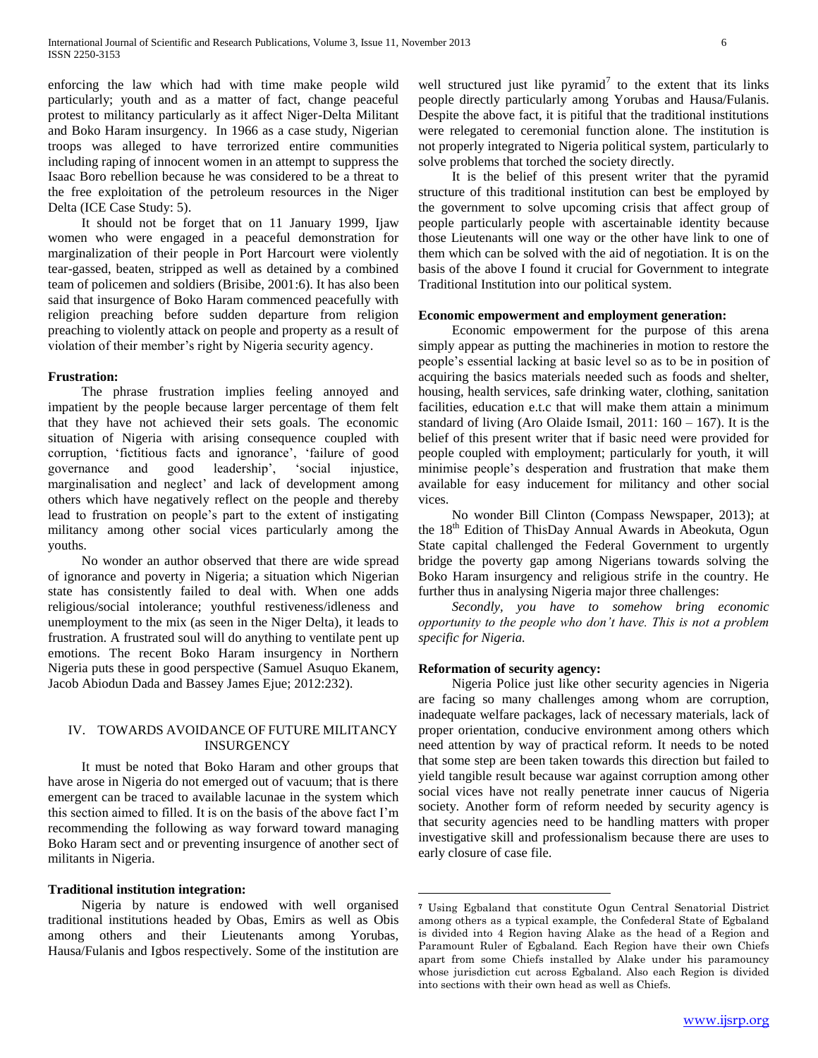enforcing the law which had with time make people wild particularly; youth and as a matter of fact, change peaceful protest to militancy particularly as it affect Niger-Delta Militant and Boko Haram insurgency. In 1966 as a case study, Nigerian troops was alleged to have terrorized entire communities including raping of innocent women in an attempt to suppress the Isaac Boro rebellion because he was considered to be a threat to the free exploitation of the petroleum resources in the Niger Delta (ICE Case Study: 5).

 It should not be forget that on 11 January 1999, Ijaw women who were engaged in a peaceful demonstration for marginalization of their people in Port Harcourt were violently tear-gassed, beaten, stripped as well as detained by a combined team of policemen and soldiers (Brisibe, 2001:6). It has also been said that insurgence of Boko Haram commenced peacefully with religion preaching before sudden departure from religion preaching to violently attack on people and property as a result of violation of their member's right by Nigeria security agency.

#### **Frustration:**

 The phrase frustration implies feeling annoyed and impatient by the people because larger percentage of them felt that they have not achieved their sets goals. The economic situation of Nigeria with arising consequence coupled with corruption, 'fictitious facts and ignorance', 'failure of good governance and good leadership', 'social injustice, marginalisation and neglect' and lack of development among others which have negatively reflect on the people and thereby lead to frustration on people's part to the extent of instigating militancy among other social vices particularly among the youths.

 No wonder an author observed that there are wide spread of ignorance and poverty in Nigeria; a situation which Nigerian state has consistently failed to deal with. When one adds religious/social intolerance; youthful restiveness/idleness and unemployment to the mix (as seen in the Niger Delta), it leads to frustration. A frustrated soul will do anything to ventilate pent up emotions. The recent Boko Haram insurgency in Northern Nigeria puts these in good perspective (Samuel Asuquo Ekanem, Jacob Abiodun Dada and Bassey James Ejue; 2012:232).

## IV. TOWARDS AVOIDANCE OF FUTURE MILITANCY **INSURGENCY**

 It must be noted that Boko Haram and other groups that have arose in Nigeria do not emerged out of vacuum; that is there emergent can be traced to available lacunae in the system which this section aimed to filled. It is on the basis of the above fact I'm recommending the following as way forward toward managing Boko Haram sect and or preventing insurgence of another sect of militants in Nigeria.

## **Traditional institution integration:**

 Nigeria by nature is endowed with well organised traditional institutions headed by Obas, Emirs as well as Obis among others and their Lieutenants among Yorubas, Hausa/Fulanis and Igbos respectively. Some of the institution are

well structured just like pyramid<sup>7</sup> to the extent that its links people directly particularly among Yorubas and Hausa/Fulanis. Despite the above fact, it is pitiful that the traditional institutions were relegated to ceremonial function alone. The institution is not properly integrated to Nigeria political system, particularly to solve problems that torched the society directly.

 It is the belief of this present writer that the pyramid structure of this traditional institution can best be employed by the government to solve upcoming crisis that affect group of people particularly people with ascertainable identity because those Lieutenants will one way or the other have link to one of them which can be solved with the aid of negotiation. It is on the basis of the above I found it crucial for Government to integrate Traditional Institution into our political system.

#### **Economic empowerment and employment generation:**

 Economic empowerment for the purpose of this arena simply appear as putting the machineries in motion to restore the people's essential lacking at basic level so as to be in position of acquiring the basics materials needed such as foods and shelter, housing, health services, safe drinking water, clothing, sanitation facilities, education e.t.c that will make them attain a minimum standard of living (Aro Olaide Ismail,  $2011: 160 - 167$ ). It is the belief of this present writer that if basic need were provided for people coupled with employment; particularly for youth, it will minimise people's desperation and frustration that make them available for easy inducement for militancy and other social vices.

 No wonder Bill Clinton (Compass Newspaper, 2013); at the 18<sup>th</sup> Edition of ThisDay Annual Awards in Abeokuta, Ogun State capital challenged the Federal Government to urgently bridge the poverty gap among Nigerians towards solving the Boko Haram insurgency and religious strife in the country. He further thus in analysing Nigeria major three challenges:

 *Secondly, you have to somehow bring economic opportunity to the people who don't have. This is not a problem specific for Nigeria.* 

### **Reformation of security agency:**

 $\overline{a}$ 

 Nigeria Police just like other security agencies in Nigeria are facing so many challenges among whom are corruption, inadequate welfare packages, lack of necessary materials, lack of proper orientation, conducive environment among others which need attention by way of practical reform. It needs to be noted that some step are been taken towards this direction but failed to yield tangible result because war against corruption among other social vices have not really penetrate inner caucus of Nigeria society. Another form of reform needed by security agency is that security agencies need to be handling matters with proper investigative skill and professionalism because there are uses to early closure of case file.

<sup>7</sup> Using Egbaland that constitute Ogun Central Senatorial District among others as a typical example, the Confederal State of Egbaland is divided into 4 Region having Alake as the head of a Region and Paramount Ruler of Egbaland. Each Region have their own Chiefs apart from some Chiefs installed by Alake under his paramouncy whose jurisdiction cut across Egbaland. Also each Region is divided into sections with their own head as well as Chiefs.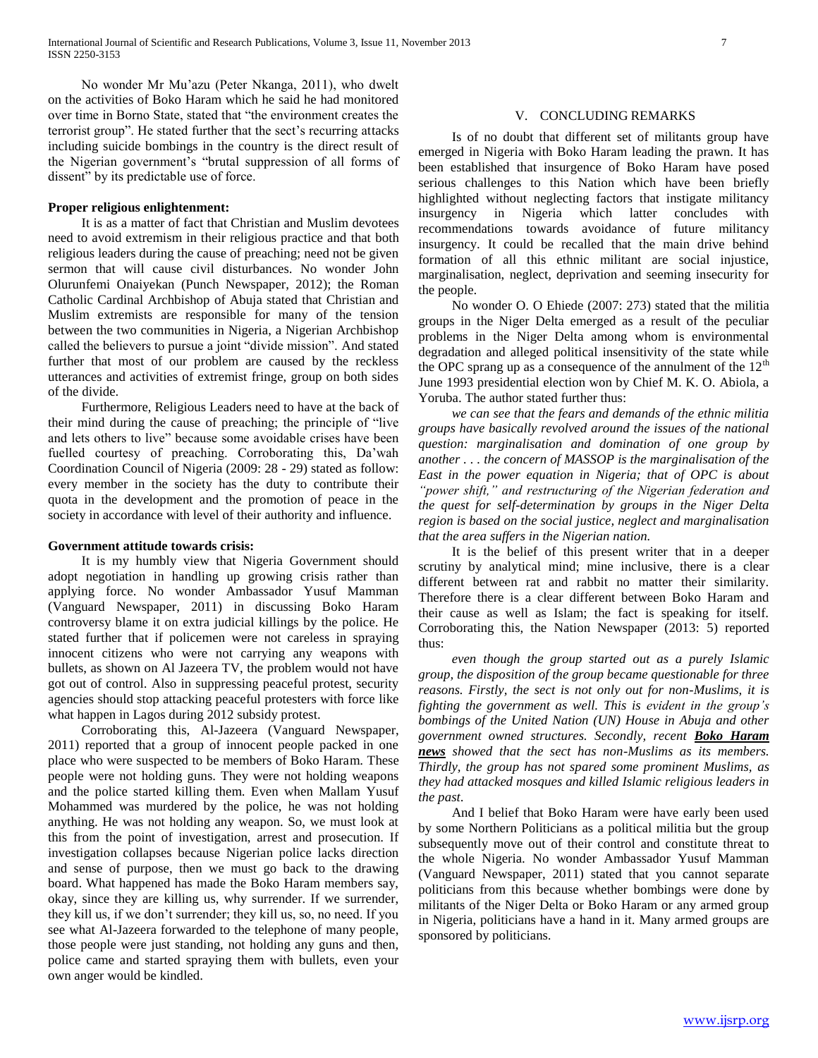No wonder Mr Mu'azu (Peter Nkanga, 2011), who dwelt on the activities of Boko Haram which he said he had monitored over time in Borno State, stated that "the environment creates the terrorist group". He stated further that the sect's recurring attacks including suicide bombings in the country is the direct result of the Nigerian government's "brutal suppression of all forms of dissent" by its predictable use of force.

#### **Proper religious enlightenment:**

 It is as a matter of fact that Christian and Muslim devotees need to avoid extremism in their religious practice and that both religious leaders during the cause of preaching; need not be given sermon that will cause civil disturbances. No wonder John Olurunfemi Onaiyekan (Punch Newspaper, 2012); the Roman Catholic Cardinal Archbishop of Abuja stated that Christian and Muslim extremists are responsible for many of the tension between the two communities in Nigeria, a Nigerian Archbishop called the believers to pursue a joint "divide mission". And stated further that most of our problem are caused by the reckless utterances and activities of extremist fringe, group on both sides of the divide.

 Furthermore, Religious Leaders need to have at the back of their mind during the cause of preaching; the principle of "live and lets others to live" because some avoidable crises have been fuelled courtesy of preaching. Corroborating this, Da'wah Coordination Council of Nigeria (2009: 28 - 29) stated as follow: every member in the society has the duty to contribute their quota in the development and the promotion of peace in the society in accordance with level of their authority and influence.

#### **Government attitude towards crisis:**

 It is my humbly view that Nigeria Government should adopt negotiation in handling up growing crisis rather than applying force. No wonder Ambassador Yusuf Mamman (Vanguard Newspaper, 2011) in discussing Boko Haram controversy blame it on extra judicial killings by the police. He stated further that if policemen were not careless in spraying innocent citizens who were not carrying any weapons with bullets, as shown on Al Jazeera TV, the problem would not have got out of control. Also in suppressing peaceful protest, security agencies should stop attacking peaceful protesters with force like what happen in Lagos during 2012 subsidy protest.

 Corroborating this, Al-Jazeera (Vanguard Newspaper, 2011) reported that a group of innocent people packed in one place who were suspected to be members of Boko Haram. These people were not holding guns. They were not holding weapons and the police started killing them. Even when Mallam Yusuf Mohammed was murdered by the police, he was not holding anything. He was not holding any weapon. So, we must look at this from the point of investigation, arrest and prosecution. If investigation collapses because Nigerian police lacks direction and sense of purpose, then we must go back to the drawing board. What happened has made the Boko Haram members say, okay, since they are killing us, why surrender. If we surrender, they kill us, if we don't surrender; they kill us, so, no need. If you see what Al-Jazeera forwarded to the telephone of many people, those people were just standing, not holding any guns and then, police came and started spraying them with bullets, even your own anger would be kindled.

#### V. CONCLUDING REMARKS

 Is of no doubt that different set of militants group have emerged in Nigeria with Boko Haram leading the prawn. It has been established that insurgence of Boko Haram have posed serious challenges to this Nation which have been briefly highlighted without neglecting factors that instigate militancy insurgency in Nigeria which latter concludes with recommendations towards avoidance of future militancy insurgency. It could be recalled that the main drive behind formation of all this ethnic militant are social injustice, marginalisation, neglect, deprivation and seeming insecurity for the people.

 No wonder O. O Ehiede (2007: 273) stated that the militia groups in the Niger Delta emerged as a result of the peculiar problems in the Niger Delta among whom is environmental degradation and alleged political insensitivity of the state while the OPC sprang up as a consequence of the annulment of the  $12<sup>th</sup>$ June 1993 presidential election won by Chief M. K. O. Abiola, a Yoruba. The author stated further thus:

 *we can see that the fears and demands of the ethnic militia groups have basically revolved around the issues of the national question: marginalisation and domination of one group by another . . . the concern of MASSOP is the marginalisation of the East in the power equation in Nigeria; that of OPC is about "power shift," and restructuring of the Nigerian federation and the quest for self-determination by groups in the Niger Delta region is based on the social justice, neglect and marginalisation that the area suffers in the Nigerian nation.* 

 It is the belief of this present writer that in a deeper scrutiny by analytical mind; mine inclusive, there is a clear different between rat and rabbit no matter their similarity. Therefore there is a clear different between Boko Haram and their cause as well as Islam; the fact is speaking for itself. Corroborating this, the Nation Newspaper (2013: 5) reported thus:

 *even though the group started out as a purely Islamic group, the disposition of the group became questionable for three reasons. Firstly, the sect is not only out for non-Muslims, it is fighting the government as well. This is evident in the group's bombings of the United Nation (UN) House in Abuja and other government owned structures. Secondly, recent Boko Haram news showed that the sect has non-Muslims as its members. Thirdly, the group has not spared some prominent Muslims, as they had attacked mosques and killed Islamic religious leaders in the past*.

 And I belief that Boko Haram were have early been used by some Northern Politicians as a political militia but the group subsequently move out of their control and constitute threat to the whole Nigeria. No wonder Ambassador Yusuf Mamman (Vanguard Newspaper, 2011) stated that you cannot separate politicians from this because whether bombings were done by militants of the Niger Delta or Boko Haram or any armed group in Nigeria, politicians have a hand in it. Many armed groups are sponsored by politicians.